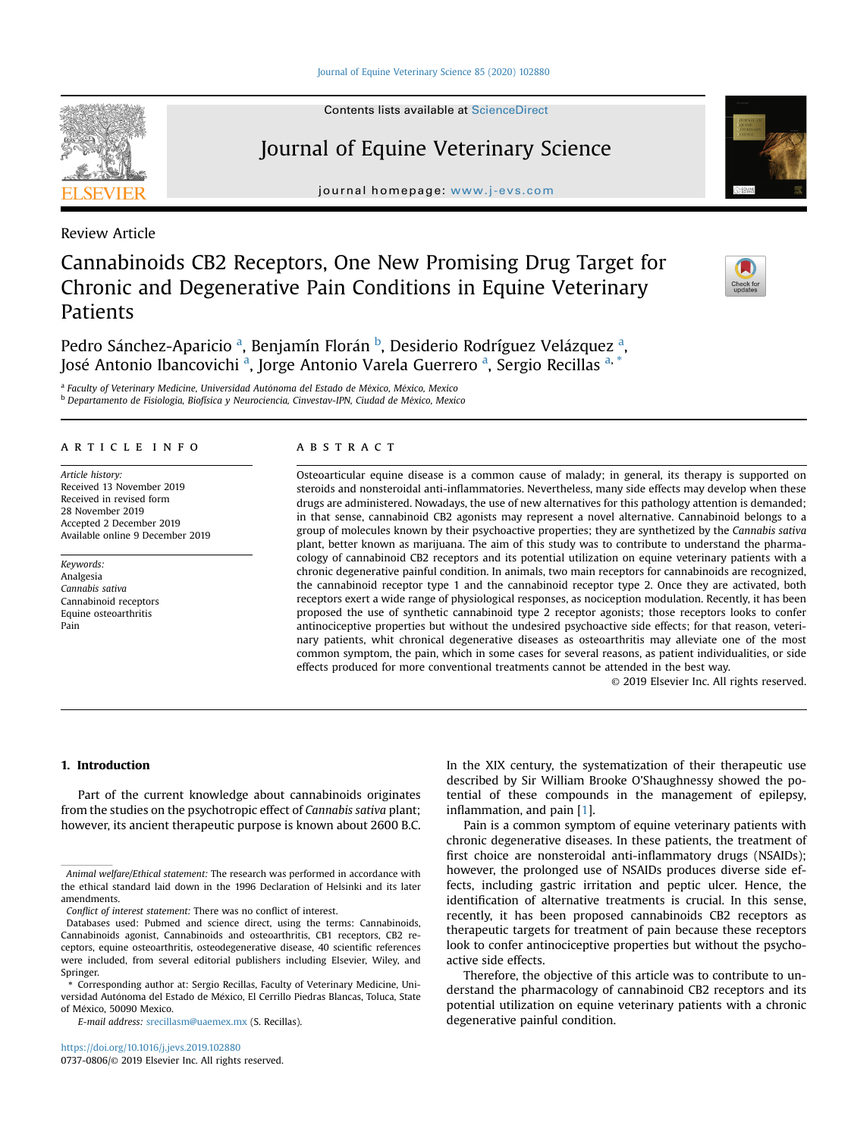Contents lists available at ScienceDirect

# Journal of Equine Veterinary Science

journal homepage: <www.j-evs.com>

Review Article

# Cannabinoids CB2 Receptors, One New Promising Drug Target for Chronic and Degenerative Pain Conditions in Equine Veterinary Patients

Pedro Sánchez-Aparicio <sup>a</sup>, Benjamín Florán <sup>b</sup>, Desiderio Rodríguez Velázquez <sup>a</sup>, José Antonio Ibancovichi <sup>a</sup>, Jorge Antonio Varela Guerrero <sup>a</sup>, Sergio Recillas <sup>a, \*</sup>

<sup>a</sup> Faculty of Veterinary Medicine, Universidad Autónoma del Estado de México, México, Mexico  $<sup>b</sup>$  Departamento de Fisiologia, Biofísica y Neurociencia, Cinvestav-IPN, Ciudad de México, Mexico</sup>

### article info

Article history: Received 13 November 2019 Received in revised form 28 November 2019 Accepted 2 December 2019 Available online 9 December 2019

Keywords: Analgesia Cannabis sativa Cannabinoid receptors Equine osteoarthritis Pain

### **ABSTRACT**

Osteoarticular equine disease is a common cause of malady; in general, its therapy is supported on steroids and nonsteroidal anti-inflammatories. Nevertheless, many side effects may develop when these drugs are administered. Nowadays, the use of new alternatives for this pathology attention is demanded; in that sense, cannabinoid CB2 agonists may represent a novel alternative. Cannabinoid belongs to a group of molecules known by their psychoactive properties; they are synthetized by the Cannabis sativa plant, better known as marijuana. The aim of this study was to contribute to understand the pharmacology of cannabinoid CB2 receptors and its potential utilization on equine veterinary patients with a chronic degenerative painful condition. In animals, two main receptors for cannabinoids are recognized, the cannabinoid receptor type 1 and the cannabinoid receptor type 2. Once they are activated, both receptors exert a wide range of physiological responses, as nociception modulation. Recently, it has been proposed the use of synthetic cannabinoid type 2 receptor agonists; those receptors looks to confer antinociceptive properties but without the undesired psychoactive side effects; for that reason, veterinary patients, whit chronical degenerative diseases as osteoarthritis may alleviate one of the most common symptom, the pain, which in some cases for several reasons, as patient individualities, or side effects produced for more conventional treatments cannot be attended in the best way.

© 2019 Elsevier Inc. All rights reserved.

# 1. Introduction

Part of the current knowledge about cannabinoids originates from the studies on the psychotropic effect of Cannabis sativa plant; however, its ancient therapeutic purpose is known about 2600 B.C.

E-mail address: [srecillasm@uaemex.mx](mailto:mcdsalazar69@gmail.com) (S. Recillas).

<https://doi.org/10.1016/j.jevs.2019.102880> 0737-0806/© 2019 Elsevier Inc. All rights reserved. In the XIX century, the systematization of their therapeutic use described by Sir William Brooke O'Shaughnessy showed the potential of these compounds in the management of epilepsy, inflammation, and pain [[1](#page-3-0)].

Pain is a common symptom of equine veterinary patients with chronic degenerative diseases. In these patients, the treatment of first choice are nonsteroidal anti-inflammatory drugs (NSAIDs); however, the prolonged use of NSAIDs produces diverse side effects, including gastric irritation and peptic ulcer. Hence, the identification of alternative treatments is crucial. In this sense, recently, it has been proposed cannabinoids CB2 receptors as therapeutic targets for treatment of pain because these receptors look to confer antinociceptive properties but without the psychoactive side effects.

Therefore, the objective of this article was to contribute to understand the pharmacology of cannabinoid CB2 receptors and its potential utilization on equine veterinary patients with a chronic degenerative painful condition.







Animal welfare/Ethical statement: The research was performed in accordance with the ethical standard laid down in the 1996 Declaration of Helsinki and its later amendments.

Conflict of interest statement: There was no conflict of interest.

Databases used: Pubmed and science direct, using the terms: Cannabinoids, Cannabinoids agonist, Cannabinoids and osteoarthritis, CB1 receptors, CB2 receptors, equine osteoarthritis, osteodegenerative disease, 40 scientific references were included, from several editorial publishers including Elsevier, Wiley, and Springer.

<sup>\*</sup> Corresponding author at: Sergio Recillas, Faculty of Veterinary Medicine, Universidad Autónoma del Estado de México, El Cerrillo Piedras Blancas, Toluca, State of Mexico, 50090 Mexico.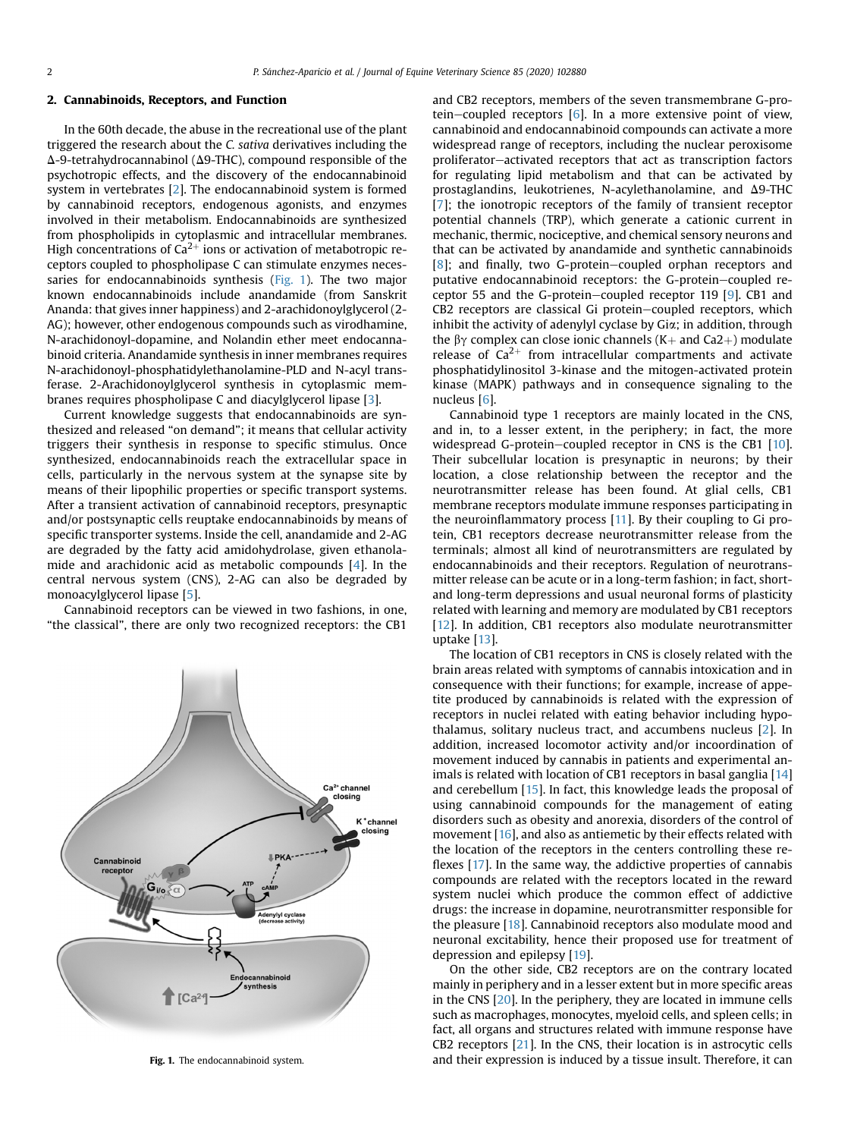### 2. Cannabinoids, Receptors, and Function

In the 60th decade, the abuse in the recreational use of the plant triggered the research about the C. sativa derivatives including the  $\Delta$ -9-tetrahydrocannabinol ( $\Delta$ 9-THC), compound responsible of the psychotropic effects, and the discovery of the endocannabinoid system in vertebrates [[2](#page-3-0)]. The endocannabinoid system is formed by cannabinoid receptors, endogenous agonists, and enzymes involved in their metabolism. Endocannabinoids are synthesized from phospholipids in cytoplasmic and intracellular membranes. High concentrations of  $Ca^{2+}$  ions or activation of metabotropic receptors coupled to phospholipase C can stimulate enzymes necessaries for endocannabinoids synthesis (Fig. 1). The two major known endocannabinoids include anandamide (from Sanskrit Ananda: that gives inner happiness) and 2-arachidonoylglycerol (2- AG); however, other endogenous compounds such as virodhamine, N-arachidonoyl-dopamine, and Nolandin ether meet endocannabinoid criteria. Anandamide synthesis in inner membranes requires N-arachidonoyl-phosphatidylethanolamine-PLD and N-acyl transferase. 2-Arachidonoylglycerol synthesis in cytoplasmic membranes requires phospholipase C and diacylglycerol lipase [[3](#page-3-0)].

Current knowledge suggests that endocannabinoids are synthesized and released "on demand"; it means that cellular activity triggers their synthesis in response to specific stimulus. Once synthesized, endocannabinoids reach the extracellular space in cells, particularly in the nervous system at the synapse site by means of their lipophilic properties or specific transport systems. After a transient activation of cannabinoid receptors, presynaptic and/or postsynaptic cells reuptake endocannabinoids by means of specific transporter systems. Inside the cell, anandamide and 2-AG are degraded by the fatty acid amidohydrolase, given ethanolamide and arachidonic acid as metabolic compounds [[4](#page-3-0)]. In the central nervous system (CNS), 2-AG can also be degraded by monoacylglycerol lipase [\[5](#page-3-0)].

Cannabinoid receptors can be viewed in two fashions, in one, "the classical", there are only two recognized receptors: the CB1



and CB2 receptors, members of the seven transmembrane G-protein-coupled receptors  $[6]$  $[6]$ . In a more extensive point of view, cannabinoid and endocannabinoid compounds can activate a more widespread range of receptors, including the nuclear peroxisome proliferator-activated receptors that act as transcription factors for regulating lipid metabolism and that can be activated by prostaglandins, leukotrienes, N-acylethanolamine, and  $\Delta$ 9-THC [[7\]](#page-3-0): the ionotropic receptors of the family of transient receptor potential channels (TRP), which generate a cationic current in mechanic, thermic, nociceptive, and chemical sensory neurons and that can be activated by anandamide and synthetic cannabinoids  $[8]$  $[8]$ ; and finally, two G-protein-coupled orphan receptors and putative endocannabinoid receptors: the G-protein-coupled re-ceptor 55 and the G-protein–coupled receptor 119 [\[9](#page-3-0)]. CB1 and CB2 receptors are classical Gi protein–coupled receptors, which inhibit the activity of adenylyl cyclase by Gia; in addition, through the  $\beta\gamma$  complex can close ionic channels (K+ and Ca2+) modulate release of  $Ca^{2+}$  from intracellular compartments and activate phosphatidylinositol 3-kinase and the mitogen-activated protein kinase (MAPK) pathways and in consequence signaling to the nucleus [[6](#page-3-0)].

Cannabinoid type 1 receptors are mainly located in the CNS, and in, to a lesser extent, in the periphery; in fact, the more widespread G-protein-coupled receptor in CNS is the CB1  $[10]$  $[10]$ . Their subcellular location is presynaptic in neurons; by their location, a close relationship between the receptor and the neurotransmitter release has been found. At glial cells, CB1 membrane receptors modulate immune responses participating in the neuroinflammatory process [[11\]](#page-3-0). By their coupling to Gi protein, CB1 receptors decrease neurotransmitter release from the terminals; almost all kind of neurotransmitters are regulated by endocannabinoids and their receptors. Regulation of neurotransmitter release can be acute or in a long-term fashion; in fact, shortand long-term depressions and usual neuronal forms of plasticity related with learning and memory are modulated by CB1 receptors [[12](#page-3-0)]. In addition, CB1 receptors also modulate neurotransmitter uptake [\[13](#page-3-0)].

The location of CB1 receptors in CNS is closely related with the brain areas related with symptoms of cannabis intoxication and in consequence with their functions; for example, increase of appetite produced by cannabinoids is related with the expression of receptors in nuclei related with eating behavior including hypothalamus, solitary nucleus tract, and accumbens nucleus [[2\]](#page-3-0). In addition, increased locomotor activity and/or incoordination of movement induced by cannabis in patients and experimental an-imals is related with location of CB1 receptors in basal ganglia [[14\]](#page-3-0) and cerebellum [[15\]](#page-3-0). In fact, this knowledge leads the proposal of using cannabinoid compounds for the management of eating disorders such as obesity and anorexia, disorders of the control of movement [[16\]](#page-3-0), and also as antiemetic by their effects related with the location of the receptors in the centers controlling these reflexes [\[17](#page-3-0)]. In the same way, the addictive properties of cannabis compounds are related with the receptors located in the reward system nuclei which produce the common effect of addictive drugs: the increase in dopamine, neurotransmitter responsible for the pleasure [\[18](#page-3-0)]. Cannabinoid receptors also modulate mood and neuronal excitability, hence their proposed use for treatment of depression and epilepsy [[19\]](#page-3-0).

On the other side, CB2 receptors are on the contrary located mainly in periphery and in a lesser extent but in more specific areas in the CNS [[20](#page-3-0)]. In the periphery, they are located in immune cells such as macrophages, monocytes, myeloid cells, and spleen cells; in fact, all organs and structures related with immune response have CB2 receptors [\[21\]](#page-3-0). In the CNS, their location is in astrocytic cells Fig. 1. The endocannabinoid system. The endocannabinoid system. And their expression is induced by a tissue insult. Therefore, it can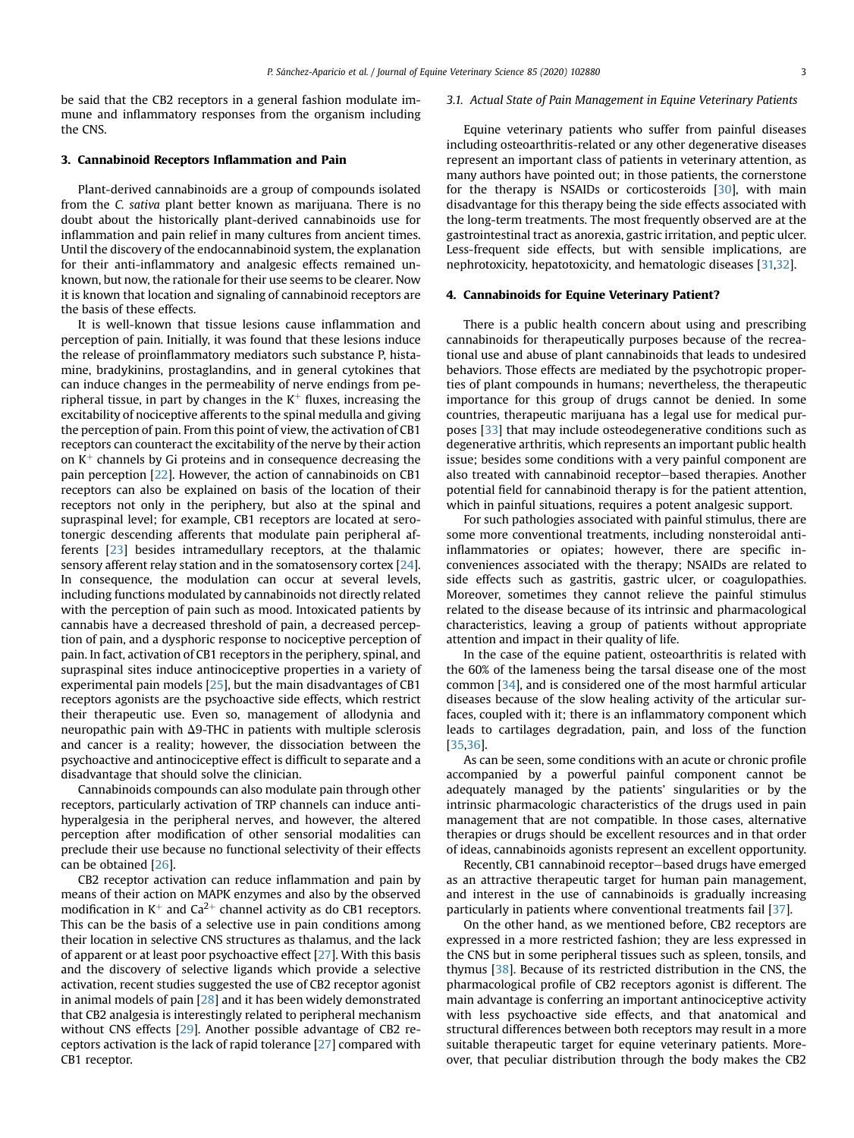be said that the CB2 receptors in a general fashion modulate immune and inflammatory responses from the organism including the CNS.

## 3. Cannabinoid Receptors Inflammation and Pain

Plant-derived cannabinoids are a group of compounds isolated from the C. sativa plant better known as marijuana. There is no doubt about the historically plant-derived cannabinoids use for inflammation and pain relief in many cultures from ancient times. Until the discovery of the endocannabinoid system, the explanation for their anti-inflammatory and analgesic effects remained unknown, but now, the rationale for their use seems to be clearer. Now it is known that location and signaling of cannabinoid receptors are the basis of these effects.

It is well-known that tissue lesions cause inflammation and perception of pain. Initially, it was found that these lesions induce the release of proinflammatory mediators such substance P, histamine, bradykinins, prostaglandins, and in general cytokines that can induce changes in the permeability of nerve endings from peripheral tissue, in part by changes in the  $K^+$  fluxes, increasing the excitability of nociceptive afferents to the spinal medulla and giving the perception of pain. From this point of view, the activation of CB1 receptors can counteract the excitability of the nerve by their action on  $K^+$  channels by Gi proteins and in consequence decreasing the pain perception [[22](#page-3-0)]. However, the action of cannabinoids on CB1 receptors can also be explained on basis of the location of their receptors not only in the periphery, but also at the spinal and supraspinal level; for example, CB1 receptors are located at serotonergic descending afferents that modulate pain peripheral afferents [[23](#page-4-0)] besides intramedullary receptors, at the thalamic sensory afferent relay station and in the somatosensory cortex [\[24\]](#page-4-0). In consequence, the modulation can occur at several levels, including functions modulated by cannabinoids not directly related with the perception of pain such as mood. Intoxicated patients by cannabis have a decreased threshold of pain, a decreased perception of pain, and a dysphoric response to nociceptive perception of pain. In fact, activation of CB1 receptors in the periphery, spinal, and supraspinal sites induce antinociceptive properties in a variety of experimental pain models [\[25\]](#page-4-0), but the main disadvantages of CB1 receptors agonists are the psychoactive side effects, which restrict their therapeutic use. Even so, management of allodynia and neuropathic pain with  $\Delta$ 9-THC in patients with multiple sclerosis and cancer is a reality; however, the dissociation between the psychoactive and antinociceptive effect is difficult to separate and a disadvantage that should solve the clinician.

Cannabinoids compounds can also modulate pain through other receptors, particularly activation of TRP channels can induce antihyperalgesia in the peripheral nerves, and however, the altered perception after modification of other sensorial modalities can preclude their use because no functional selectivity of their effects can be obtained [\[26\]](#page-4-0).

CB2 receptor activation can reduce inflammation and pain by means of their action on MAPK enzymes and also by the observed modification in  $K^+$  and Ca<sup>2+</sup> channel activity as do CB1 receptors. This can be the basis of a selective use in pain conditions among their location in selective CNS structures as thalamus, and the lack of apparent or at least poor psychoactive effect  $[27]$  $[27]$  $[27]$ . With this basis and the discovery of selective ligands which provide a selective activation, recent studies suggested the use of CB2 receptor agonist in animal models of pain [\[28\]](#page-4-0) and it has been widely demonstrated that CB2 analgesia is interestingly related to peripheral mechanism without CNS effects [[29](#page-4-0)]. Another possible advantage of CB2 receptors activation is the lack of rapid tolerance [[27](#page-4-0)] compared with CB1 receptor.

#### 3.1. Actual State of Pain Management in Equine Veterinary Patients

Equine veterinary patients who suffer from painful diseases including osteoarthritis-related or any other degenerative diseases represent an important class of patients in veterinary attention, as many authors have pointed out; in those patients, the cornerstone for the therapy is NSAIDs or corticosteroids [[30](#page-4-0)], with main disadvantage for this therapy being the side effects associated with the long-term treatments. The most frequently observed are at the gastrointestinal tract as anorexia, gastric irritation, and peptic ulcer. Less-frequent side effects, but with sensible implications, are nephrotoxicity, hepatotoxicity, and hematologic diseases [\[31,32\]](#page-4-0).

#### 4. Cannabinoids for Equine Veterinary Patient?

There is a public health concern about using and prescribing cannabinoids for therapeutically purposes because of the recreational use and abuse of plant cannabinoids that leads to undesired behaviors. Those effects are mediated by the psychotropic properties of plant compounds in humans; nevertheless, the therapeutic importance for this group of drugs cannot be denied. In some countries, therapeutic marijuana has a legal use for medical purposes [\[33\]](#page-4-0) that may include osteodegenerative conditions such as degenerative arthritis, which represents an important public health issue; besides some conditions with a very painful component are also treated with cannabinoid receptor-based therapies. Another potential field for cannabinoid therapy is for the patient attention, which in painful situations, requires a potent analgesic support.

For such pathologies associated with painful stimulus, there are some more conventional treatments, including nonsteroidal antiinflammatories or opiates; however, there are specific inconveniences associated with the therapy; NSAIDs are related to side effects such as gastritis, gastric ulcer, or coagulopathies. Moreover, sometimes they cannot relieve the painful stimulus related to the disease because of its intrinsic and pharmacological characteristics, leaving a group of patients without appropriate attention and impact in their quality of life.

In the case of the equine patient, osteoarthritis is related with the 60% of the lameness being the tarsal disease one of the most common [\[34\]](#page-4-0), and is considered one of the most harmful articular diseases because of the slow healing activity of the articular surfaces, coupled with it; there is an inflammatory component which leads to cartilages degradation, pain, and loss of the function [\[35,36](#page-4-0)].

As can be seen, some conditions with an acute or chronic profile accompanied by a powerful painful component cannot be adequately managed by the patients' singularities or by the intrinsic pharmacologic characteristics of the drugs used in pain management that are not compatible. In those cases, alternative therapies or drugs should be excellent resources and in that order of ideas, cannabinoids agonists represent an excellent opportunity.

Recently, CB1 cannabinoid receptor-based drugs have emerged as an attractive therapeutic target for human pain management, and interest in the use of cannabinoids is gradually increasing particularly in patients where conventional treatments fail [\[37](#page-4-0)].

On the other hand, as we mentioned before, CB2 receptors are expressed in a more restricted fashion; they are less expressed in the CNS but in some peripheral tissues such as spleen, tonsils, and thymus [[38](#page-4-0)]. Because of its restricted distribution in the CNS, the pharmacological profile of CB2 receptors agonist is different. The main advantage is conferring an important antinociceptive activity with less psychoactive side effects, and that anatomical and structural differences between both receptors may result in a more suitable therapeutic target for equine veterinary patients. Moreover, that peculiar distribution through the body makes the CB2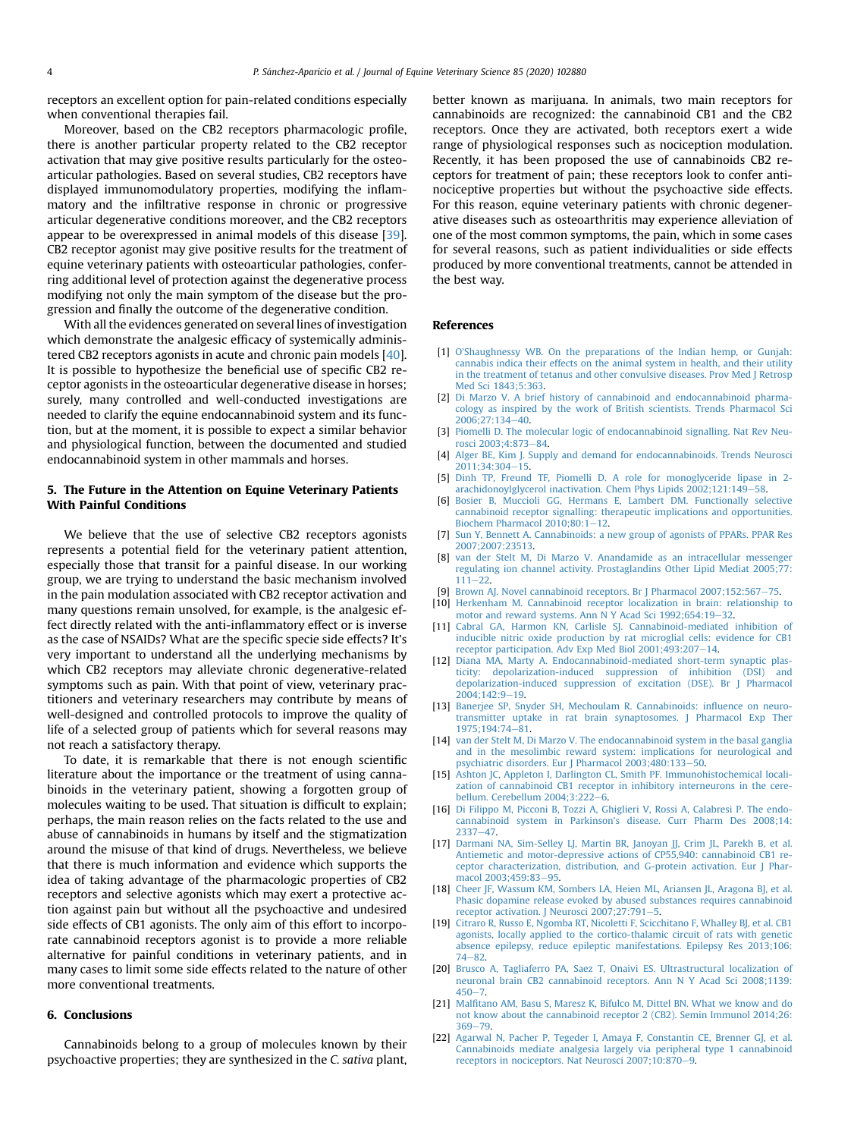<span id="page-3-0"></span>receptors an excellent option for pain-related conditions especially when conventional therapies fail.

Moreover, based on the CB2 receptors pharmacologic profile, there is another particular property related to the CB2 receptor activation that may give positive results particularly for the osteoarticular pathologies. Based on several studies, CB2 receptors have displayed immunomodulatory properties, modifying the inflammatory and the infiltrative response in chronic or progressive articular degenerative conditions moreover, and the CB2 receptors appear to be overexpressed in animal models of this disease [[39](#page-4-0)]. CB2 receptor agonist may give positive results for the treatment of equine veterinary patients with osteoarticular pathologies, conferring additional level of protection against the degenerative process modifying not only the main symptom of the disease but the progression and finally the outcome of the degenerative condition.

With all the evidences generated on several lines of investigation which demonstrate the analgesic efficacy of systemically administered CB2 receptors agonists in acute and chronic pain models [[40](#page-4-0)]. It is possible to hypothesize the beneficial use of specific CB2 receptor agonists in the osteoarticular degenerative disease in horses; surely, many controlled and well-conducted investigations are needed to clarify the equine endocannabinoid system and its function, but at the moment, it is possible to expect a similar behavior and physiological function, between the documented and studied endocannabinoid system in other mammals and horses.

# 5. The Future in the Attention on Equine Veterinary Patients With Painful Conditions

We believe that the use of selective CB2 receptors agonists represents a potential field for the veterinary patient attention, especially those that transit for a painful disease. In our working group, we are trying to understand the basic mechanism involved in the pain modulation associated with CB2 receptor activation and many questions remain unsolved, for example, is the analgesic effect directly related with the anti-inflammatory effect or is inverse as the case of NSAIDs? What are the specific specie side effects? It's very important to understand all the underlying mechanisms by which CB2 receptors may alleviate chronic degenerative-related symptoms such as pain. With that point of view, veterinary practitioners and veterinary researchers may contribute by means of well-designed and controlled protocols to improve the quality of life of a selected group of patients which for several reasons may not reach a satisfactory therapy.

To date, it is remarkable that there is not enough scientific literature about the importance or the treatment of using cannabinoids in the veterinary patient, showing a forgotten group of molecules waiting to be used. That situation is difficult to explain; perhaps, the main reason relies on the facts related to the use and abuse of cannabinoids in humans by itself and the stigmatization around the misuse of that kind of drugs. Nevertheless, we believe that there is much information and evidence which supports the idea of taking advantage of the pharmacologic properties of CB2 receptors and selective agonists which may exert a protective action against pain but without all the psychoactive and undesired side effects of CB1 agonists. The only aim of this effort to incorporate cannabinoid receptors agonist is to provide a more reliable alternative for painful conditions in veterinary patients, and in many cases to limit some side effects related to the nature of other more conventional treatments.

## 6. Conclusions

Cannabinoids belong to a group of molecules known by their psychoactive properties; they are synthesized in the C. sativa plant, better known as marijuana. In animals, two main receptors for cannabinoids are recognized: the cannabinoid CB1 and the CB2 receptors. Once they are activated, both receptors exert a wide range of physiological responses such as nociception modulation. Recently, it has been proposed the use of cannabinoids CB2 receptors for treatment of pain; these receptors look to confer antinociceptive properties but without the psychoactive side effects. For this reason, equine veterinary patients with chronic degenerative diseases such as osteoarthritis may experience alleviation of one of the most common symptoms, the pain, which in some cases for several reasons, such as patient individualities or side effects produced by more conventional treatments, cannot be attended in the best way.

#### References

- [1] O'[Shaughnessy WB. On the preparations of the Indian hemp, or Gunjah:](http://refhub.elsevier.com/S0737-0806(19)30629-X/sref1) [cannabis indica their effects on the animal system in health, and their utility](http://refhub.elsevier.com/S0737-0806(19)30629-X/sref1) [in the treatment of tetanus and other convulsive diseases. Prov Med J Retrosp](http://refhub.elsevier.com/S0737-0806(19)30629-X/sref1) [Med Sci 1843;5:363](http://refhub.elsevier.com/S0737-0806(19)30629-X/sref1).
- [2] [Di Marzo V. A brief history of cannabinoid and endocannabinoid pharma](http://refhub.elsevier.com/S0737-0806(19)30629-X/sref2)[cology as inspired by the work of British scientists. Trends Pharmacol Sci](http://refhub.elsevier.com/S0737-0806(19)30629-X/sref2) 2006:27:134-[40.](http://refhub.elsevier.com/S0737-0806(19)30629-X/sref2)
- [3] [Piomelli D. The molecular logic of endocannabinoid signalling. Nat Rev Neu](http://refhub.elsevier.com/S0737-0806(19)30629-X/sref3)[rosci 2003;4:873](http://refhub.elsevier.com/S0737-0806(19)30629-X/sref3)-[84.](http://refhub.elsevier.com/S0737-0806(19)30629-X/sref3)
- [4] [Alger BE, Kim J. Supply and demand for endocannabinoids. Trends Neurosci](http://refhub.elsevier.com/S0737-0806(19)30629-X/sref4) [2011;34:304](http://refhub.elsevier.com/S0737-0806(19)30629-X/sref4)-[15.](http://refhub.elsevier.com/S0737-0806(19)30629-X/sref4)
- [5] [Dinh TP, Freund TF, Piomelli D. A role for monoglyceride lipase in 2](http://refhub.elsevier.com/S0737-0806(19)30629-X/sref5) arachidonoylglycerol inactivation. Chem Phys Lipids  $2002;121:149-58$  $2002;121:149-58$ .
- [6] [Bosier B, Muccioli GG, Hermans E, Lambert DM. Functionally selective](http://refhub.elsevier.com/S0737-0806(19)30629-X/sref6) [cannabinoid receptor signalling: therapeutic implications and opportunities.](http://refhub.elsevier.com/S0737-0806(19)30629-X/sref6) Biochem Pharmacol  $2010;80:1-12$  $2010;80:1-12$ .
- [7] [Sun Y, Bennett A. Cannabinoids: a new group of agonists of PPARs. PPAR Res](http://refhub.elsevier.com/S0737-0806(19)30629-X/sref7) [2007;2007:23513.](http://refhub.elsevier.com/S0737-0806(19)30629-X/sref7)
- [van der Stelt M, Di Marzo V. Anandamide as an intracellular messenger](http://refhub.elsevier.com/S0737-0806(19)30629-X/sref8) [regulating ion channel activity. Prostaglandins Other Lipid Mediat 2005;77:](http://refhub.elsevier.com/S0737-0806(19)30629-X/sref8)  $111 - 22$  $111 - 22$ .
- [9] [Brown AJ. Novel cannabinoid receptors. Br J Pharmacol 2007;152:567](http://refhub.elsevier.com/S0737-0806(19)30629-X/sref9)-[75.](http://refhub.elsevier.com/S0737-0806(19)30629-X/sref9)
- [10] [Herkenham M. Cannabinoid receptor localization in brain: relationship to](http://refhub.elsevier.com/S0737-0806(19)30629-X/sref10) [motor and reward systems. Ann N Y Acad Sci 1992;654:19](http://refhub.elsevier.com/S0737-0806(19)30629-X/sref10)-[32](http://refhub.elsevier.com/S0737-0806(19)30629-X/sref10).
- [11] [Cabral GA, Harmon KN, Carlisle SJ. Cannabinoid-mediated inhibition of](http://refhub.elsevier.com/S0737-0806(19)30629-X/sref11) [inducible nitric oxide production by rat microglial cells: evidence for CB1](http://refhub.elsevier.com/S0737-0806(19)30629-X/sref11) receptor participation. Adv Exp Med Biol  $2001;493:207-14$  $2001;493:207-14$ .
- [12] [Diana MA, Marty A. Endocannabinoid-mediated short-term synaptic plas](http://refhub.elsevier.com/S0737-0806(19)30629-X/sref12)[ticity: depolarization-induced suppression of inhibition \(DSI\) and](http://refhub.elsevier.com/S0737-0806(19)30629-X/sref12) [depolarization-induced suppression of excitation \(DSE\). Br J Pharmacol](http://refhub.elsevier.com/S0737-0806(19)30629-X/sref12) 2004:142:9-[19.](http://refhub.elsevier.com/S0737-0806(19)30629-X/sref12)
- [13] [Banerjee SP, Snyder SH, Mechoulam R. Cannabinoids: in](http://refhub.elsevier.com/S0737-0806(19)30629-X/sref13)fluence on neuro[transmitter uptake in rat brain synaptosomes. J Pharmacol Exp Ther](http://refhub.elsevier.com/S0737-0806(19)30629-X/sref13) 1975:194:74-[81](http://refhub.elsevier.com/S0737-0806(19)30629-X/sref13).
- [14] [van der Stelt M, Di Marzo V. The endocannabinoid system in the basal ganglia](http://refhub.elsevier.com/S0737-0806(19)30629-X/sref14) [and in the mesolimbic reward system: implications for neurological and](http://refhub.elsevier.com/S0737-0806(19)30629-X/sref14) psychiatric disorders. Eur J Pharmacol  $2003:480:133-50$  $2003:480:133-50$ .
- [15] [Ashton JC, Appleton I, Darlington CL, Smith PF. Immunohistochemical locali](http://refhub.elsevier.com/S0737-0806(19)30629-X/sref15)[zation of cannabinoid CB1 receptor in inhibitory interneurons in the cere](http://refhub.elsevier.com/S0737-0806(19)30629-X/sref15)bellum. Cerebellum  $2004;3:222-6$  $2004;3:222-6$ .
- [16] [Di Filippo M, Picconi B, Tozzi A, Ghiglieri V, Rossi A, Calabresi P. The endo](http://refhub.elsevier.com/S0737-0806(19)30629-X/sref16)cannabinoid system in Parkinson'[s disease. Curr Pharm Des 2008;14:](http://refhub.elsevier.com/S0737-0806(19)30629-X/sref16)  $2337 - 47$  $2337 - 47$
- [17] [Darmani NA, Sim-Selley LJ, Martin BR, Janoyan JJ, Crim JL, Parekh B, et al.](http://refhub.elsevier.com/S0737-0806(19)30629-X/sref17) [Antiemetic and motor-depressive actions of CP55,940: cannabinoid CB1 re](http://refhub.elsevier.com/S0737-0806(19)30629-X/sref17)[ceptor characterization, distribution, and G-protein activation. Eur J Phar](http://refhub.elsevier.com/S0737-0806(19)30629-X/sref17)macol  $2003:459:83-95$ .
- [18] [Cheer JF, Wassum KM, Sombers LA, Heien ML, Ariansen JL, Aragona BJ, et al.](http://refhub.elsevier.com/S0737-0806(19)30629-X/sref18) [Phasic dopamine release evoked by abused substances requires cannabinoid](http://refhub.elsevier.com/S0737-0806(19)30629-X/sref18) [receptor activation. J Neurosci 2007;27:791](http://refhub.elsevier.com/S0737-0806(19)30629-X/sref18)-[5.](http://refhub.elsevier.com/S0737-0806(19)30629-X/sref18)
- [19] [Citraro R, Russo E, Ngomba RT, Nicoletti F, Scicchitano F, Whalley BJ, et al. CB1](http://refhub.elsevier.com/S0737-0806(19)30629-X/sref19) [agonists, locally applied to the cortico-thalamic circuit of rats with genetic](http://refhub.elsevier.com/S0737-0806(19)30629-X/sref19) [absence epilepsy, reduce epileptic manifestations. Epilepsy Res 2013;106:](http://refhub.elsevier.com/S0737-0806(19)30629-X/sref19)  $74 - 82$  $74 - 82$  $74 - 82$
- [20] [Brusco A, Tagliaferro PA, Saez T, Onaivi ES. Ultrastructural localization of](http://refhub.elsevier.com/S0737-0806(19)30629-X/sref20) [neuronal brain CB2 cannabinoid receptors. Ann N Y Acad Sci 2008;1139:](http://refhub.elsevier.com/S0737-0806(19)30629-X/sref20)  $450 - 7$  $450 - 7$  $450 - 7$
- [21] Malfi[tano AM, Basu S, Maresz K, Bifulco M, Dittel BN. What we know and do](http://refhub.elsevier.com/S0737-0806(19)30629-X/sref21) [not know about the cannabinoid receptor 2 \(CB2\). Semin Immunol 2014;26:](http://refhub.elsevier.com/S0737-0806(19)30629-X/sref21)  $369 - 79$  $369 - 79$  $369 - 79$
- [22] [Agarwal N, Pacher P, Tegeder I, Amaya F, Constantin CE, Brenner GJ, et al.](http://refhub.elsevier.com/S0737-0806(19)30629-X/sref22) [Cannabinoids mediate analgesia largely via peripheral type 1 cannabinoid](http://refhub.elsevier.com/S0737-0806(19)30629-X/sref22) [receptors in nociceptors. Nat Neurosci 2007;10:870](http://refhub.elsevier.com/S0737-0806(19)30629-X/sref22)-[9.](http://refhub.elsevier.com/S0737-0806(19)30629-X/sref22)